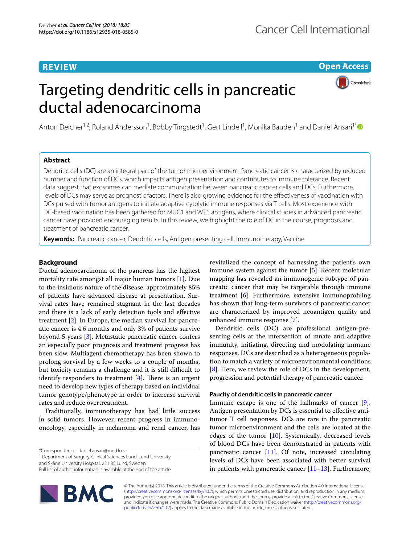# **REVIEW**

**Open Access**

# Targeting dendritic cells in pancreatic ductal adenocarcinoma



Anton Deicher<sup>1,2</sup>, Roland Andersson<sup>1</sup>, Bobby Tingstedt<sup>1</sup>, Gert Lindell<sup>1</sup>, Monika Bauden<sup>1</sup> and Daniel Ansari<sup>1[\\*](http://orcid.org/0000-0002-4357-822X)</sup>

# **Abstract**

Dendritic cells (DC) are an integral part of the tumor microenvironment. Pancreatic cancer is characterized by reduced number and function of DCs, which impacts antigen presentation and contributes to immune tolerance. Recent data suggest that exosomes can mediate communication between pancreatic cancer cells and DCs. Furthermore, levels of DCs may serve as prognostic factors. There is also growing evidence for the efectiveness of vaccination with DCs pulsed with tumor antigens to initiate adaptive cytolytic immune responses via T cells. Most experience with DC-based vaccination has been gathered for MUC1 and WT1 antigens, where clinical studies in advanced pancreatic cancer have provided encouraging results. In this review, we highlight the role of DC in the course, prognosis and treatment of pancreatic cancer.

**Keywords:** Pancreatic cancer, Dendritic cells, Antigen presenting cell, Immunotherapy, Vaccine

# **Background**

Ductal adenocarcinoma of the pancreas has the highest mortality rate amongst all major human tumors [\[1](#page-5-0)]. Due to the insidious nature of the disease, approximately 85% of patients have advanced disease at presentation. Survival rates have remained stagnant in the last decades and there is a lack of early detection tools and efective treatment [[2\]](#page-5-1). In Europe, the median survival for pancreatic cancer is 4.6 months and only 3% of patients survive beyond 5 years [\[3](#page-5-2)]. Metastatic pancreatic cancer confers an especially poor prognosis and treatment progress has been slow. Multiagent chemotherapy has been shown to prolong survival by a few weeks to a couple of months, but toxicity remains a challenge and it is still difficult to identify responders to treatment  $[4]$  $[4]$ . There is an urgent need to develop new types of therapy based on individual tumor genotype/phenotype in order to increase survival rates and reduce overtreatment.

Traditionally, immunotherapy has had little success in solid tumors. However, recent progress in immunooncology, especially in melanoma and renal cancer, has

\*Correspondence: daniel.ansari@med.lu.se

<sup>1</sup> Department of Surgery, Clinical Sciences Lund, Lund University

and Skåne University Hospital, 221 85 Lund, Sweden

Full list of author information is available at the end of the article



revitalized the concept of harnessing the patient's own immune system against the tumor [[5\]](#page-5-4). Recent molecular mapping has revealed an immunogenic subtype of pancreatic cancer that may be targetable through immune treatment [[6\]](#page-5-5). Furthermore, extensive immunoprofling has shown that long-term survivors of pancreatic cancer are characterized by improved neoantigen quality and enhanced immune response [[7\]](#page-5-6).

Dendritic cells (DC) are professional antigen-presenting cells at the intersection of innate and adaptive immunity, initiating, directing and modulating immune responses. DCs are described as a heterogeneous population to match a variety of microenvironmental conditions [[8\]](#page-5-7). Here, we review the role of DCs in the development, progression and potential therapy of pancreatic cancer.

## **Paucity of dendritic cells in pancreatic cancer**

Immune escape is one of the hallmarks of cancer [\[9](#page-5-8)]. Antigen presentation by DCs is essential to efective antitumor T cell responses. DCs are rare in the pancreatic tumor microenvironment and the cells are located at the edges of the tumor [[10\]](#page-5-9). Systemically, decreased levels of blood DCs have been demonstrated in patients with pancreatic cancer [\[11](#page-5-10)]. Of note, increased circulating levels of DCs have been associated with better survival in patients with pancreatic cancer  $[11-13]$  $[11-13]$ . Furthermore,

© The Author(s) 2018. This article is distributed under the terms of the Creative Commons Attribution 4.0 International License [\(http://creativecommons.org/licenses/by/4.0/\)](http://creativecommons.org/licenses/by/4.0/), which permits unrestricted use, distribution, and reproduction in any medium, provided you give appropriate credit to the original author(s) and the source, provide a link to the Creative Commons license, and indicate if changes were made. The Creative Commons Public Domain Dedication waiver ([http://creativecommons.org/](http://creativecommons.org/publicdomain/zero/1.0/) [publicdomain/zero/1.0/](http://creativecommons.org/publicdomain/zero/1.0/)) applies to the data made available in this article, unless otherwise stated.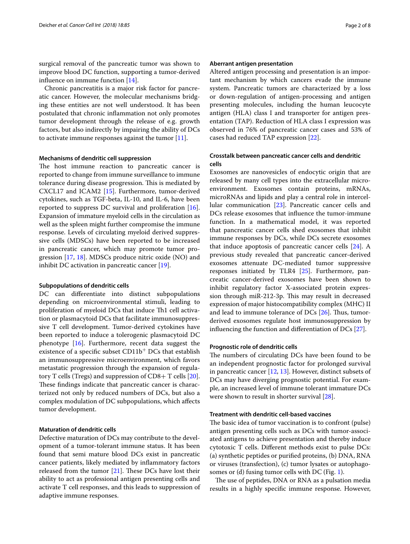surgical removal of the pancreatic tumor was shown to improve blood DC function, supporting a tumor-derived infuence on immune function [\[14](#page-5-12)].

Chronic pancreatitis is a major risk factor for pancreatic cancer. However, the molecular mechanisms bridging these entities are not well understood. It has been postulated that chronic infammation not only promotes tumor development through the release of e.g. growth factors, but also indirectly by impairing the ability of DCs to activate immune responses against the tumor [[11\]](#page-5-10).

#### **Mechanisms of dendritic cell suppression**

The host immune reaction to pancreatic cancer is reported to change from immune surveillance to immune tolerance during disease progression. This is mediated by CXCL17 and ICAM2 [[15](#page-5-13)]. Furthermore, tumor-derived cytokines, such as TGF-beta, IL-10, and IL-6, have been reported to suppress DC survival and proliferation [\[16](#page-5-14)]. Expansion of immature myeloid cells in the circulation as well as the spleen might further compromise the immune response. Levels of circulating myeloid derived suppressive cells (MDSCs) have been reported to be increased in pancreatic cancer, which may promote tumor progression [[17](#page-5-15), [18](#page-5-16)]. MDSCs produce nitric oxide (NO) and inhibit DC activation in pancreatic cancer [\[19\]](#page-5-17).

## **Subpopulations of dendritic cells**

DC can differentiate into distinct subpopulations depending on microenvironmental stimuli, leading to proliferation of myeloid DCs that induce Th1 cell activation or plasmacytoid DCs that facilitate immunosuppressive T cell development. Tumor-derived cytokines have been reported to induce a tolerogenic plasmacytoid DC phenotype [\[16](#page-5-14)]. Furthermore, recent data suggest the existence of a specific subset  $CD11b<sup>+</sup>DCs$  that establish an immunosuppressive microenvironment, which favors metastatic progression through the expansion of regulatory T cells (Tregs) and suppression of  $CD8+T$  cells [\[20](#page-5-18)]. These findings indicate that pancreatic cancer is characterized not only by reduced numbers of DCs, but also a complex modulation of DC subpopulations, which afects tumor development.

#### **Maturation of dendritic cells**

Defective maturation of DCs may contribute to the development of a tumor-tolerant immune status. It has been found that semi mature blood DCs exist in pancreatic cancer patients, likely mediated by infammatory factors released from the tumor  $[21]$  $[21]$ . These DCs have lost their ability to act as professional antigen presenting cells and activate T cell responses, and this leads to suppression of adaptive immune responses.

#### **Aberrant antigen presentation**

Altered antigen processing and presentation is an important mechanism by which cancers evade the immune system. Pancreatic tumors are characterized by a loss or down-regulation of antigen-processing and antigen presenting molecules, including the human leucocyte antigen (HLA) class I and transporter for antigen presentation (TAP). Reduction of HLA class I expression was observed in 76% of pancreatic cancer cases and 53% of cases had reduced TAP expression [[22\]](#page-5-20).

# **Crosstalk between pancreatic cancer cells and dendritic cells**

Exosomes are nanovesicles of endocytic origin that are released by many cell types into the extracellular microenvironment. Exosomes contain proteins, mRNAs, microRNAs and lipids and play a central role in intercellular communication [\[23\]](#page-5-21). Pancreatic cancer cells and DCs release exosomes that infuence the tumor-immune function. In a mathematical model, it was reported that pancreatic cancer cells shed exosomes that inhibit immune responses by DCs, while DCs secrete exosomes that induce apoptosis of pancreatic cancer cells [[24](#page-5-22)]. A previous study revealed that pancreatic cancer-derived exosomes attenuate DC-mediated tumor suppressive responses initiated by TLR4 [\[25\]](#page-5-23). Furthermore, pancreatic cancer-derived exosomes have been shown to inhibit regulatory factor X-associated protein expression through miR-212-3p. This may result in decreased expression of major histocompatibility complex (MHC) II and lead to immune tolerance of DCs  $[26]$  $[26]$ . Thus, tumorderived exosomes regulate host immunosuppression by infuencing the function and diferentiation of DCs [\[27](#page-5-25)].

## **Prognostic role of dendritic cells**

The numbers of circulating DCs have been found to be an independent prognostic factor for prolonged survival in pancreatic cancer [[12](#page-5-26), [13\]](#page-5-11). However, distinct subsets of DCs may have diverging prognostic potential. For example, an increased level of immune tolerant immature DCs were shown to result in shorter survival [[28](#page-5-27)].

# **Treatment with dendritic cell‑based vaccines**

The basic idea of tumor vaccination is to confront (pulse) antigen presenting cells such as DCs with tumor-associated antigens to achieve presentation and thereby induce cytotoxic T cells. Diferent methods exist to pulse DCs: (a) synthetic peptides or purifed proteins, (b) DNA, RNA or viruses (transfection), (c) tumor lysates or autophagosomes or (d) fusing tumor cells with DC (Fig. [1](#page-2-0)).

The use of peptides, DNA or RNA as a pulsation media results in a highly specifc immune response. However,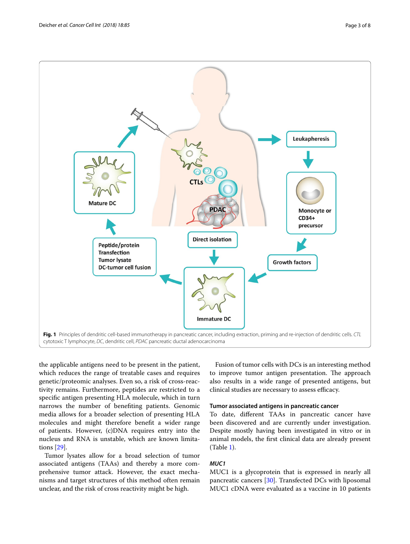

<span id="page-2-0"></span>the applicable antigens need to be present in the patient, which reduces the range of treatable cases and requires genetic/proteomic analyses. Even so, a risk of cross-reactivity remains. Furthermore, peptides are restricted to a specifc antigen presenting HLA molecule, which in turn narrows the number of benefting patients. Genomic media allows for a broader selection of presenting HLA molecules and might therefore beneft a wider range of patients. However, (c)DNA requires entry into the nucleus and RNA is unstable, which are known limitations [\[29](#page-6-0)].

Tumor lysates allow for a broad selection of tumor associated antigens (TAAs) and thereby a more comprehensive tumor attack. However, the exact mechanisms and target structures of this method often remain unclear, and the risk of cross reactivity might be high.

Fusion of tumor cells with DCs is an interesting method to improve tumor antigen presentation. The approach also results in a wide range of presented antigens, but clinical studies are necessary to assess efficacy.

# **Tumor associated antigens in pancreatic cancer**

To date, diferent TAAs in pancreatic cancer have been discovered and are currently under investigation. Despite mostly having been investigated in vitro or in animal models, the frst clinical data are already present (Table [1\)](#page-3-0).

# *MUC1*

MUC1 is a glycoprotein that is expressed in nearly all pancreatic cancers [\[30\]](#page-6-1). Transfected DCs with liposomal MUC1 cDNA were evaluated as a vaccine in 10 patients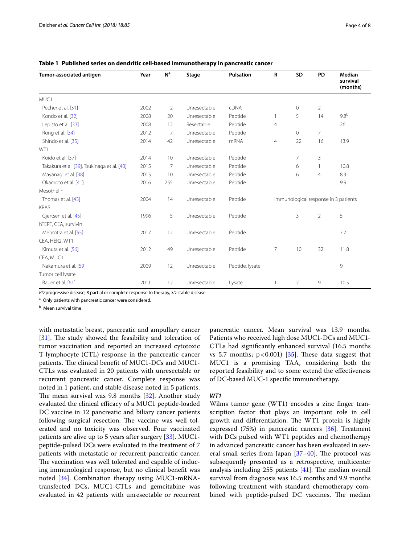| Tumor-associated antigen                    | Year | N <sup>a</sup> | Stage        | <b>Pulsation</b> | R                                    | SD             | PD             | Median<br>survival<br>(months) |
|---------------------------------------------|------|----------------|--------------|------------------|--------------------------------------|----------------|----------------|--------------------------------|
| MUC1                                        |      |                |              |                  |                                      |                |                |                                |
| Pecher et al. [31]                          | 2002 | $\overline{2}$ | Unresectable | <b>cDNA</b>      |                                      | $\mathbf 0$    | $\overline{2}$ |                                |
| Kondo et al. [32]                           | 2008 | 20             | Unresectable | Peptide          | $\mathbf{1}$                         | 5              | 14             | 9.8 <sup>b</sup>               |
| Lepisto et al. [33]                         | 2008 | 12             | Resectable   | Peptide          | $\overline{4}$                       |                |                | 26                             |
| Rong et al. [34]                            | 2012 | $\overline{7}$ | Unresectable | Peptide          |                                      | $\mathbf 0$    | $\overline{7}$ |                                |
| Shindo et al. [35]                          | 2014 | 42             | Unresectable | mRNA             | $\overline{4}$                       | 22             | 16             | 13.9                           |
| WT1                                         |      |                |              |                  |                                      |                |                |                                |
| Koido et al. [37]                           | 2014 | 10             | Unresectable | Peptide          |                                      | $\overline{7}$ | 3              |                                |
| Takakura et al. [39], Tsukinaga et al. [40] | 2015 | $\overline{7}$ | Unresectable | Peptide          |                                      | 6              | 1              | 10.8                           |
| Mayanagi et al. [38]                        | 2015 | 10             | Unresectable | Peptide          |                                      | 6              | $\overline{4}$ | 8.3                            |
| Okamoto et al. [41]                         | 2016 | 255            | Unresectable | Peptide          |                                      |                |                | 9.9                            |
| Mesothelin                                  |      |                |              |                  |                                      |                |                |                                |
| Thomas et al. [43]                          | 2004 | 14             | Unresectable | Peptide          | Immunological response in 3 patients |                |                |                                |
| <b>KRAS</b>                                 |      |                |              |                  |                                      |                |                |                                |
| Gjertsen et al. [45]                        | 1996 | 5              | Unresectable | Peptide          |                                      | 3              | $\overline{2}$ | 5                              |
| hTERT, CEA, survivin                        |      |                |              |                  |                                      |                |                |                                |
| Mehrotra et al. [55]                        | 2017 | 12             | Unresectable | Peptide          |                                      |                |                | 7.7                            |
| CEA, HER2, WT1                              |      |                |              |                  |                                      |                |                |                                |
| Kimura et al. [56]                          | 2012 | 49             | Unresectable | Peptide          | $\overline{7}$                       | 10             | 32             | 11.8                           |
| CEA, MUC1                                   |      |                |              |                  |                                      |                |                |                                |
| Nakamura et al. [59]                        | 2009 | 12             | Unresectable | Peptide, lysate  |                                      |                |                | 9                              |
| Tumor cell lysate                           |      |                |              |                  |                                      |                |                |                                |
| Bauer et al. [61]                           | 2011 | 12             | Unresectable | Lysate           | 1                                    | $\overline{2}$ | 9              | 10.5                           |

<span id="page-3-0"></span>**Table 1 Published series on dendritic cell-based immunotherapy in pancreatic cancer**

*PD* progressive disease, *R* partial or complete response to therapy, *SD* stable disease

<sup>a</sup> Only patients with pancreatic cancer were considered.

**b** Mean survival time

with metastatic breast, pancreatic and ampullary cancer  $[31]$  $[31]$ . The study showed the feasibility and toleration of tumor vaccination and reported an increased cytotoxic T-lymphocyte (CTL) response in the pancreatic cancer patients. The clinical benefit of MUC1-DCs and MUC1-CTLs was evaluated in 20 patients with unresectable or recurrent pancreatic cancer. Complete response was noted in 1 patient, and stable disease noted in 5 patients. The mean survival was 9.8 months  $[32]$  $[32]$ . Another study evaluated the clinical efficacy of a MUC1 peptide-loaded DC vaccine in 12 pancreatic and biliary cancer patients following surgical resection. The vaccine was well tolerated and no toxicity was observed. Four vaccinated patients are alive up to 5 years after surgery [\[33\]](#page-6-4). MUC1 peptide-pulsed DCs were evaluated in the treatment of 7 patients with metastatic or recurrent pancreatic cancer. The vaccination was well tolerated and capable of inducing immunological response, but no clinical beneft was noted [[34\]](#page-6-5). Combination therapy using MUC1-mRNAtransfected DCs, MUC1-CTLs and gemcitabine was evaluated in 42 patients with unresectable or recurrent

pancreatic cancer. Mean survival was 13.9 months. Patients who received high dose MUC1-DCs and MUC1- CTLs had signifcantly enhanced survival (16.5 months vs 5.7 months;  $p < 0.001$ ) [[35\]](#page-6-6). These data suggest that MUC1 is a promising TAA, considering both the reported feasibility and to some extend the efectiveness of DC-based MUC-1 specifc immunotherapy.

# *WT1*

Wilms tumor gene (WT1) encodes a zinc fnger transcription factor that plays an important role in cell growth and differentiation. The WT1 protein is highly expressed (75%) in pancreatic cancers [[36](#page-6-7)]. Treatment with DCs pulsed with WT1 peptides and chemotherapy in advanced pancreatic cancer has been evaluated in several small series from Japan  $[37-40]$  $[37-40]$ . The protocol was subsequently presented as a retrospective, multicenter analysis including 255 patients  $[41]$  $[41]$ . The median overall survival from diagnosis was 16.5 months and 9.9 months following treatment with standard chemotherapy combined with peptide-pulsed DC vaccines. The median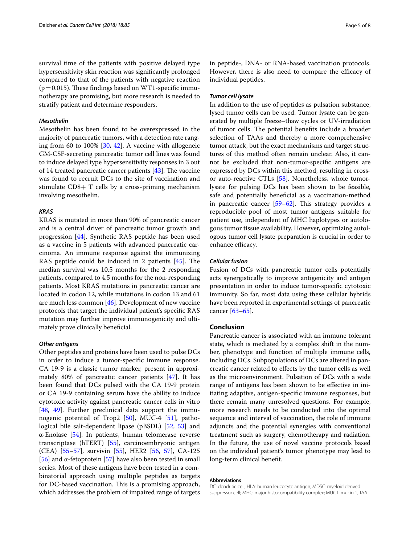survival time of the patients with positive delayed type hypersensitivity skin reaction was signifcantly prolonged compared to that of the patients with negative reaction  $(p=0.015)$ . These findings based on WT1-specific immunotherapy are promising, but more research is needed to stratify patient and determine responders.

### *Mesothelin*

Mesothelin has been found to be overexpressed in the majority of pancreatic tumors, with a detection rate ranging from 60 to 100% [[30](#page-6-1), [42\]](#page-6-19). A vaccine with allogeneic GM-CSF-secreting pancreatic tumor cell lines was found to induce delayed type hypersensitivity responses in 3 out of 14 treated pancreatic cancer patients  $[43]$  $[43]$ . The vaccine was found to recruit DCs to the site of vaccination and stimulate CD8+ T cells by a cross-priming mechanism involving mesothelin.

#### *KRAS*

KRAS is mutated in more than 90% of pancreatic cancer and is a central driver of pancreatic tumor growth and progression [[44\]](#page-6-20). Synthetic RAS peptide has been used as a vaccine in 5 patients with advanced pancreatic carcinoma. An immune response against the immunizing RAS peptide could be induced in 2 patients  $[45]$  $[45]$ . The median survival was 10.5 months for the 2 responding patients, compared to 4.5 months for the non-responding patients. Most KRAS mutations in pancreatic cancer are located in codon 12, while mutations in codon 13 and 61 are much less common [[46\]](#page-6-21). Development of new vaccine protocols that target the individual patient's specifc RAS mutation may further improve immunogenicity and ultimately prove clinically beneficial.

#### *Other antigens*

Other peptides and proteins have been used to pulse DCs in order to induce a tumor-specifc immune response. CA 19-9 is a classic tumor marker, present in approximately 80% of pancreatic cancer patients [[47\]](#page-6-22). It has been found that DCs pulsed with the CA 19-9 protein or CA 19-9 containing serum have the ability to induce cytotoxic activity against pancreatic cancer cells in vitro [[48,](#page-6-23) [49](#page-6-24)]. Further preclinical data support the immunogenic potential of Trop2  $[50]$  $[50]$  $[50]$ , MUC-4  $[51]$ , pathological bile salt-dependent lipase (pBSDL) [[52,](#page-6-27) [53\]](#page-6-28) and α-Enolase [\[54](#page-6-29)]. In patients, human telomerase reverse transcriptase (hTERT) [[55](#page-6-15)], carcinoembryonic antigen (CEA) [[55–](#page-6-15)[57\]](#page-6-30), survivin [\[55](#page-6-15)], HER2 [\[56,](#page-6-16) [57\]](#page-6-30), CA-125 [[56\]](#page-6-16) and α-fetoprotein [\[57](#page-6-30)] have also been tested in small series. Most of these antigens have been tested in a combinatorial approach using multiple peptides as targets for DC-based vaccination. This is a promising approach, which addresses the problem of impaired range of targets in peptide-, DNA- or RNA-based vaccination protocols. However, there is also need to compare the efficacy of individual peptides.

## *Tumor cell lysate*

In addition to the use of peptides as pulsation substance, lysed tumor cells can be used. Tumor lysate can be generated by multiple freeze–thaw cycles or UV-irradiation of tumor cells. The potential benefits include a broader selection of TAAs and thereby a more comprehensive tumor attack, but the exact mechanisms and target structures of this method often remain unclear. Also, it cannot be excluded that non-tumor-specifc antigens are expressed by DCs within this method, resulting in crossor auto-reactive CTLs [\[58](#page-6-31)]. Nonetheless, whole tumorlysate for pulsing DCs has been shown to be feasible, safe and potentially benefcial as a vaccination-method in pancreatic cancer  $[59-62]$  $[59-62]$  $[59-62]$ . This strategy provides a reproducible pool of most tumor antigens suitable for patient use, independent of MHC haplotypes or autologous tumor tissue availability. However, optimizing autologous tumor cell lysate preparation is crucial in order to enhance efficacy.

#### *Cellular fusion*

Fusion of DCs with pancreatic tumor cells potentially acts synergistically to improve antigenicity and antigen presentation in order to induce tumor-specifc cytotoxic immunity. So far, most data using these cellular hybrids have been reported in experimental settings of pancreatic cancer [\[63](#page-6-33)–[65\]](#page-7-0).

# **Conclusion**

Pancreatic cancer is associated with an immune tolerant state, which is mediated by a complex shift in the number, phenotype and function of multiple immune cells, including DCs. Subpopulations of DCs are altered in pancreatic cancer related to efects by the tumor cells as well as the microenvironment. Pulsation of DCs with a wide range of antigens has been shown to be efective in initiating adaptive, antigen-specifc immune responses, but there remain many unresolved questions. For example, more research needs to be conducted into the optimal sequence and interval of vaccination, the role of immune adjuncts and the potential synergies with conventional treatment such as surgery, chemotherapy and radiation. In the future, the use of novel vaccine protocols based on the individual patient's tumor phenotype may lead to long-term clinical beneft.

#### **Abbreviations**

DC: dendritic cell; HLA: human leucocyte antigen; MDSC: myeloid derived suppressor cell; MHC: major histocompatibility complex; MUC1: mucin 1; TAA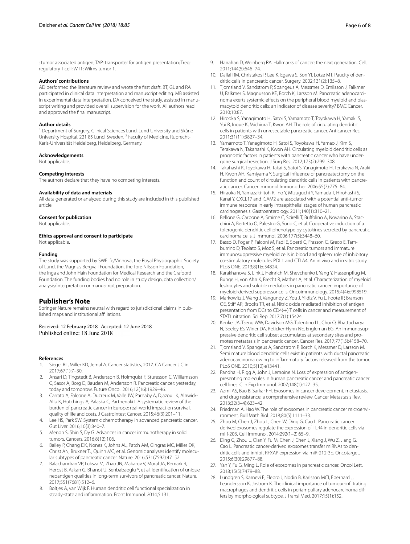: tumor associated antigen; TAP: transporter for antigen presentation; Treg: regulatory T cell; WT1: Wilms tumor 1.

#### **Authors' contributions**

AD performed the literature review and wrote the frst draft. BT, GL and RA participated in clinical data interpretation and manuscript editing. MB assisted in experimental data interpretation. DA conceived the study, assisted in manuscript writing and provided overall supervision for the work. All authors read and approved the fnal manuscript.

#### **Author details**

<sup>1</sup> Department of Surgery, Clinical Sciences Lund, Lund University and Skåne University Hospital, 221 85 Lund, Sweden. <sup>2</sup> Faculty of Medicine, Ruprecht-Karls-Universität Heidelberg, Heidelberg, Germany.

#### **Acknowledgements**

Not applicable.

#### **Competing interests**

The authors declare that they have no competing interests.

#### **Availability of data and materials**

All data generated or analyzed during this study are included in this published article.

#### **Consent for publication**

Not applicable.

#### **Ethics approval and consent to participate**

Not applicable.

#### **Funding**

The study was supported by SWElife/Vinnova, the Royal Physiographic Society of Lund, the Magnus Bergvall Foundation, the Tore Nilsson Foundation, the Inga and John Hain Foundation for Medical Research and the Crafoord Foundation. The funding bodies had no role in study design, data collection/ analysis/interpretation or manuscript preparation.

## **Publisher's Note**

Springer Nature remains neutral with regard to jurisdictional claims in published maps and institutional afliations.

#### Received: 12 February 2018 Accepted: 12 June 2018 Published online: 18 June 2018

#### **References**

- <span id="page-5-0"></span>1. Siegel RL, Miller KD, Jemal A. Cancer statistics, 2017. CA Cancer J Clin. 2017;67(1):7–30.
- <span id="page-5-1"></span>2. Ansari D, Tingstedt B, Andersson B, Holmquist F, Sturesson C, Williamsson C, Sasor A, Borg D, Bauden M, Andersson R. Pancreatic cancer: yesterday, today and tomorrow. Future Oncol. 2016;12(16):1929–46.
- <span id="page-5-2"></span>3. Carrato A, Falcone A, Ducreux M, Valle JW, Parnaby A, Djazouli K, Alnwick-Allu K, Hutchings A, Palaska C, Parthenaki I. A systematic review of the burden of pancreatic cancer in Europe: real-world impact on survival, quality of life and costs. J Gastrointest Cancer. 2015;46(3):201–11.
- <span id="page-5-3"></span>4. Lee HS, Park SW. Systemic chemotherapy in advanced pancreatic cancer. Gut Liver. 2016;10(3):340–7.
- <span id="page-5-4"></span>5. Menon S, Shin S, Dy G. Advances in cancer immunotherapy in solid tumors. Cancers. 2016;8(12):106.
- <span id="page-5-5"></span>6. Bailey P, Chang DK, Nones K, Johns AL, Patch AM, Gingras MC, Miller DK, Christ AN, Bruxner TJ, Quinn MC, et al. Genomic analyses identify molecular subtypes of pancreatic cancer. Nature. 2016;531(7592):47–52.
- <span id="page-5-6"></span>7. Balachandran VP, Luksza M, Zhao JN, Makarov V, Moral JA, Remark R, Herbst B, Askan G, Bhanot U, Senbabaoglu Y, et al. Identifcation of unique neoantigen qualities in long-term survivors of pancreatic cancer. Nature. 2017;551(7681):512–6.
- <span id="page-5-7"></span>8. Boltjes A, van Wijk F. Human dendritic cell functional specialization in steady-state and infammation. Front Immunol. 2014;5:131.
- <span id="page-5-8"></span>9. Hanahan D, Weinberg RA. Hallmarks of cancer: the next generation. Cell. 2011;144(5):646–74.
- <span id="page-5-9"></span>10. Dallal RM, Christakos P, Lee K, Egawa S, Son YI, Lotze MT. Paucity of dendritic cells in pancreatic cancer. Surgery. 2002;131(2):135–8.
- <span id="page-5-10"></span>11. Tjomsland V, Sandstrom P, Spangeus A, Messmer D, Emilsson J, Falkmer U, Falkmer S, Magnusson KE, Borch K, Larsson M. Pancreatic adenocarcinoma exerts systemic effects on the peripheral blood myeloid and plasmacytoid dendritic cells: an indicator of disease severity? BMC Cancer. 2010;10:87.
- <span id="page-5-26"></span>12. Hirooka S, Yanagimoto H, Satoi S, Yamamoto T, Toyokawa H, Yamaki S, Yui R, Inoue K, Michiura T, Kwon AH. The role of circulating dendritic cells in patients with unresectable pancreatic cancer. Anticancer Res. 2011;31(11):3827–34.
- <span id="page-5-11"></span>13. Yamamoto T, Yanagimoto H, Satoi S, Toyokawa H, Yamao J, Kim S, Terakawa N, Takahashi K, Kwon AH. Circulating myeloid dendritic cells as prognostic factors in patients with pancreatic cancer who have undergone surgical resection. J Surg Res. 2012;173(2):299–308.
- <span id="page-5-12"></span>14. Takahashi K, Toyokawa H, Takai S, Satoi S, Yanagimoto H, Terakawa N, Araki H, Kwon AH, Kamiyama Y. Surgical infuence of pancreatectomy on the function and count of circulating dendritic cells in patients with pancreatic cancer. Cancer Immunol Immunother. 2006;55(7):775–84.
- <span id="page-5-13"></span>15. Hiraoka N, Yamazaki-Itoh R, Ino Y, Mizuguchi Y, Yamada T, Hirohashi S, Kanai Y. CXCL17 and ICAM2 are associated with a potential anti-tumor immune response in early intraepithelial stages of human pancreatic carcinogenesis. Gastroenterology. 2011;140(1):310–21.
- <span id="page-5-14"></span>16. Bellone G, Carbone A, Smirne C, Scirelli T, Bufolino A, Novarino A, Stacchini A, Bertetto O, Palestro G, Sorio C, et al. Cooperative induction of a tolerogenic dendritic cell phenotype by cytokines secreted by pancreatic carcinoma cells. J Immunol. 2006;177(5):3448–60.
- <span id="page-5-15"></span>17. Basso D, Fogar P, Falconi M, Fadi E, Sperti C, Frasson C, Greco E, Tamburrino D, Teolato S, Moz S, et al. Pancreatic tumors and immature immunosuppressive myeloid cells in blood and spleen: role of inhibitory co-stimulatory molecules PDL1 and CTLA4. An in vivo and in vitro study. PLoS ONE. 2013;8(1):e54824.
- <span id="page-5-16"></span>18. Karakhanova S, Link J, Heinrich M, Shevchenko I, Yang Y, Hassenpfug M, Bunge H, von Ahn K, Brecht R, Mathes A, et al. Characterization of myeloid leukocytes and soluble mediators in pancreatic cancer: importance of myeloid-derived suppressor cells. Oncoimmunology. 2015;4(4):e998519.
- <span id="page-5-17"></span>19. Markowitz J, Wang J, Vangundy Z, You J, Yildiz V, Yu L, Foote IP, Branson OE, Stif AR, Brooks TR, et al. Nitric oxide mediated inhibition of antigen presentation from DCs to CD4(+) T cells in cancer and measurement of STAT1 nitration. Sci Rep. 2017;7(1):15424.
- <span id="page-5-18"></span>20. Kenkel JA, Tseng WW, Davidson MG, Tolentino LL, Choi O, Bhattacharya N, Seeley ES, Winer DA, Reticker-Flynn NE, Engleman EG. An immunosuppressive dendritic cell subset accumulates at secondary sites and promotes metastasis in pancreatic cancer. Cancer Res. 2017;77(15):4158–70.
- <span id="page-5-19"></span>21. Tjomsland V, Spangeus A, Sandstrom P, Borch K, Messmer D, Larsson M. Semi mature blood dendritic cells exist in patients with ductal pancreatic adenocarcinoma owing to infammatory factors released from the tumor. PLoS ONE. 2010;5(10):e13441.
- <span id="page-5-20"></span>22. Pandha H, Rigg A, John J, Lemoine N. Loss of expression of antigenpresenting molecules in human pancreatic cancer and pancreatic cancer cell lines. Clin Exp Immunol. 2007;148(1):127–35.
- <span id="page-5-21"></span>23. Azmi AS, Bao B, Sarkar FH. Exosomes in cancer development, metastasis, and drug resistance: a comprehensive review. Cancer Metastasis Rev. 2013;32(3–4):623–42.
- <span id="page-5-22"></span>24. Friedman A, Hao W. The role of exosomes in pancreatic cancer microenvironment. Bull Math Biol. 2018;80(5):1111–33.
- <span id="page-5-23"></span>25. Zhou M, Chen J, Zhou L, Chen W, Ding G, Cao L. Pancreatic cancer derived exosomes regulate the expression of TLR4 in dendritic cells via miR-203. Cell Immunol. 2014;292(1–2):65–9.
- <span id="page-5-24"></span>26. Ding G, Zhou L, Qian Y, Fu M, Chen J, Chen J, Xiang J, Wu Z, Jiang G, Cao L. Pancreatic cancer-derived exosomes transfer miRNAs to dendritic cells and inhibit RFXAP expression via miR-212-3p. Oncotarget. 2015;6(30):29877–88.
- <span id="page-5-25"></span>27. Yan Y, Fu G, Ming L. Role of exosomes in pancreatic cancer. Oncol Lett. 2018;15(5):7479–88.
- <span id="page-5-27"></span>28. Lundgren S, Karnevi E, Elebro J, Nodin B, Karlsson MCI, Eberhard J, Leandersson K, Jirstrom K. The clinical importance of tumour-infltrating macrophages and dendritic cells in periampullary adenocarcinoma differs by morphological subtype. J Transl Med. 2017;15(1):152.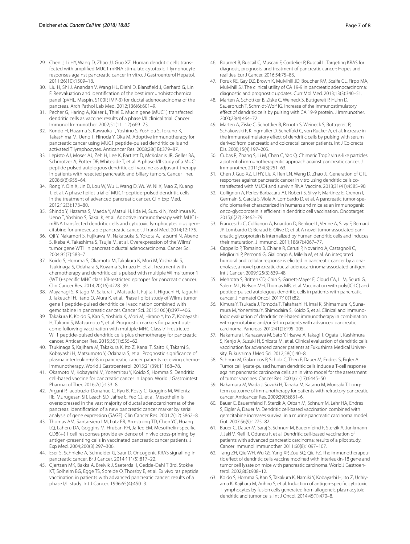- <span id="page-6-0"></span>29. Chen J, Li HY, Wang D, Zhao JJ, Guo XZ. Human dendritic cells transfected with amplifed MUC1 mRNA stimulate cytotoxic T lymphocyte responses against pancreatic cancer in vitro. J Gastroenterol Hepatol. 2011;26(10):1509–18.
- <span id="page-6-1"></span>30. Liu H, Shi J, Anandan V, Wang HL, Diehl D, Blansfeld J, Gerhard G, Lin F. Reevaluation and identifcation of the best immunohistochemical panel (pVHL, Maspin, S100P, IMP-3) for ductal adenocarcinoma of the pancreas. Arch Pathol Lab Med. 2012;136(6):601–9.
- <span id="page-6-2"></span>31. Pecher G, Haring A, Kaiser L, Thiel E. Mucin gene (MUC1) transfected dendritic cells as vaccine: results of a phase I/II clinical trial. Cancer Immunol Immunother. 2002;51(11–12):669–73.
- <span id="page-6-3"></span>32. Kondo H, Hazama S, Kawaoka T, Yoshino S, Yoshida S, Tokuno K, Takashima M, Ueno T, Hinoda Y, Oka M. Adoptive immunotherapy for pancreatic cancer using MUC1 peptide-pulsed dendritic cells and activated T lymphocytes. Anticancer Res. 2008;28(1B):379–87.
- <span id="page-6-4"></span>33. Lepisto AJ, Moser AJ, Zeh H, Lee K, Bartlett D, McKolanis JR, Geller BA, Schmotzer A, Potter DP, Whiteside T, et al. A phase I/II study of a MUC1 peptide pulsed autologous dendritic cell vaccine as adjuvant therapy in patients with resected pancreatic and biliary tumors. Cancer Ther. 2008;6(B):955–64.
- <span id="page-6-5"></span>34. Rong Y, Qin X, Jin D, Lou W, Wu L, Wang D, Wu W, Ni X, Mao Z, Kuang T, et al. A phase I pilot trial of MUC1-peptide-pulsed dendritic cells in the treatment of advanced pancreatic cancer. Clin Exp Med. 2012;12(3):173–80.
- <span id="page-6-6"></span>35. Shindo Y, Hazama S, Maeda Y, Matsui H, Iida M, Suzuki N, Yoshimura K, Ueno T, Yoshino S, Sakai K, et al. Adoptive immunotherapy with MUC1 mRNA transfected dendritic cells and cytotoxic lymphocytes plus gemcitabine for unresectable pancreatic cancer. J Transl Med. 2014;12:175.
- <span id="page-6-7"></span>36. Oji Y, Nakamori S, Fujikawa M, Nakatsuka S, Yokota A, Tatsumi N, Abeno S, Ikeba A, Takashima S, Tsujie M, et al. Overexpression of the Wilms' tumor gene WT1 in pancreatic ductal adenocarcinoma. Cancer Sci. 2004;95(7):583–7.
- <span id="page-6-8"></span>37. Koido S, Homma S, Okamoto M, Takakura K, Mori M, Yoshizaki S, Tsukinaga S, Odahara S, Koyama S, Imazu H, et al. Treatment with chemotherapy and dendritic cells pulsed with multiple Wilms' tumor 1 (WT1)-specifc MHC class I/II-restricted epitopes for pancreatic cancer. Clin Cancer Res. 2014;20(16):4228–39.
- <span id="page-6-12"></span>38. Mayanagi S, Kitago M, Sakurai T, Matsuda T, Fujita T, Higuchi H, Taguchi J, Takeuchi H, Itano O, Aiura K, et al. Phase I pilot study of Wilms tumor gene 1 peptide-pulsed dendritic cell vaccination combined with gemcitabine in pancreatic cancer. Cancer Sci. 2015;106(4):397–406.
- <span id="page-6-11"></span>39. Takakura K, Koido S, Kan S, Yoshida K, Mori M, Hirano Y, Ito Z, Kobayashi H, Takami S, Matsumoto Y, et al. Prognostic markers for patient outcome following vaccination with multiple MHC Class I/II-restricted WT1 peptide-pulsed dendritic cells plus chemotherapy for pancreatic cancer. Anticancer Res. 2015;35(1):555–62.
- <span id="page-6-9"></span>40. Tsukinaga S, Kajihara M, Takakura K, Ito Z, Kanai T, Saito K, Takami S, Kobayashi H, Matsumoto Y, Odahara S, et al. Prognostic signifcance of plasma interleukin-6/-8 in pancreatic cancer patients receiving chemoimmunotherapy. World J Gastroenterol. 2015;21(39):11168–78.
- <span id="page-6-10"></span>41. Okamoto M, Kobayashi M, Yonemitsu Y, Koido S, Homma S. Dendritic cell-based vaccine for pancreatic cancer in Japan. World J Gastrointest Pharmacol Ther. 2016;7(1):133–8.
- <span id="page-6-19"></span>42. Argani P, Iacobuzio-Donahue C, Ryu B, Rosty C, Goggins M, Wilentz RE, Murugesan SR, Leach SD, Jafee E, Yeo CJ, et al. Mesothelin is overexpressed in the vast majority of ductal adenocarcinomas of the pancreas: identifcation of a new pancreatic cancer marker by serial analysis of gene expression (SAGE). Clin Cancer Res. 2001;7(12):3862–8.
- <span id="page-6-13"></span>43. Thomas AM, Santarsiero LM, Lutz ER, Armstrong TD, Chen YC, Huang LQ, Laheru DA, Goggins M, Hruban RH, Jafee EM. Mesothelin-specifc CD8(+) T cell responses provide evidence of in vivo cross-priming by antigen-presenting cells in vaccinated pancreatic cancer patients. J Exp Med. 2004;200(3):297–306.
- <span id="page-6-20"></span>44. Eser S, Schnieke A, Schneider G, Saur D. Oncogenic KRAS signalling in pancreatic cancer. Br J Cancer. 2014;111(5):817–22.
- <span id="page-6-14"></span>45. Gjertsen MK, Bakka A, Breivik J, Saeterdal I, Gedde-Dahl T 3rd, Stokke KT, Solheim BG, Egge TS, Soreide O, Thorsby E, et al. Ex vivo ras peptide vaccination in patients with advanced pancreatic cancer: results of a phase I/II study. Int J Cancer. 1996;65(4):450–3.
- <span id="page-6-21"></span>46. Bournet B, Buscail C, Muscari F, Cordelier P, Buscail L. Targeting KRAS for diagnosis, prognosis, and treatment of pancreatic cancer: Hopes and realities. Eur J Cancer. 2016;54:75–83.
- <span id="page-6-22"></span>47. Poruk KE, Gay DZ, Brown K, Mulvihill JD, Boucher KM, Scaife CL, Firpo MA, Mulvihill SJ. The clinical utility of CA 19-9 in pancreatic adenocarcinoma: diagnostic and prognostic updates. Curr Mol Med. 2013;13(3):340–51.
- <span id="page-6-23"></span>48. Marten A, Schottker B, Ziske C, Weineck S, Buttgereit P, Huhn D, Sauerbruch T, Schmidt-Wolf IG. Increase of the immunostimulatory efect of dendritic cells by pulsing with CA 19-9 protein. J Immunother. 2000;23(4):464–72.
- <span id="page-6-24"></span>49. Marten A, Ziske C, Schottker B, Renoth S, Weineck S, Buttgereit P, Schakowski F, Klingmuller D, Scheffold C, von Rucker A, et al. Increase in the immunostimulatory effect of dendritic cells by pulsing with serum derived from pancreatic and colorectal cancer patients. Int J Colorectal Dis. 2000;15(4):197–205.
- <span id="page-6-25"></span>50. Cubas R, Zhang S, Li M, Chen C, Yao Q. Chimeric Trop2 virus-like particles: a potential immunotherapeutic approach against pancreatic cancer. J Immunother. 2011;34(3):251–63.
- <span id="page-6-26"></span>51. Chen J, Guo XZ, Li HY, Liu X, Ren LN, Wang D, Zhao JJ. Generation of CTL responses against pancreatic cancer in vitro using dendritic cells cotransfected with MUC4 and survivin RNA. Vaccine. 2013;31(41):4585–90.
- <span id="page-6-27"></span>52. Collignon A, Perles-Barbacaru AT, Robert S, Silvy F, Martinez E, Crenon I, Germain S, Garcia S, Viola A, Lombardo D, et al. A pancreatic tumor-specifc biomarker characterized in humans and mice as an immunogenic onco-glycoprotein is efficient in dendritic cell vaccination. Oncotarget. 2015;6(27):23462–79.
- <span id="page-6-28"></span>53. Franceschi C, Collignon A, Isnardon D, Benkoel L, Verine A, Silvy F, Bernard JP, Lombardo D, Beraud E, Olive D, et al. A novel tumor-associated pancreatic glycoprotein is internalized by human dendritic cells and induces their maturation. J Immunol. 2011;186(7):4067–77.
- <span id="page-6-29"></span>54. Cappello P, Tomaino B, Chiarle R, Ceruti P, Novarino A, Castagnoli C, Migliorini P, Perconti G, Giallongo A, Milella M, et al. An integrated humoral and cellular response is elicited in pancreatic cancer by alphaenolase, a novel pancreatic ductal adenocarcinoma-associated antigen. Int J Cancer. 2009;125(3):639–48.
- <span id="page-6-15"></span>55. Mehrotra S, Britten CD, Chin S, Garrett-Mayer E, Cloud CA, Li M, Scurti G, Salem ML, Nelson MH, Thomas MB, et al. Vaccination with poly(IC:LC) and peptide-pulsed autologous dendritic cells in patients with pancreatic cancer. J Hematol Oncol. 2017;10(1):82.
- <span id="page-6-16"></span>56. Kimura Y, Tsukada J, Tomoda T, Takahashi H, Imai K, Shimamura K, Sunamura M, Yonemitsu Y, Shimodaira S, Koido S, et al. Clinical and immunologic evaluation of dendritic cell-based immunotherapy in combination with gemcitabine and/or S-1 in patients with advanced pancreatic carcinoma. Pancreas. 2012;41(2):195–205.
- <span id="page-6-30"></span>57. Nakamura I, Kanazawa M, Sato Y, Irisawa A, Takagi T, Ogata T, Kashimura S, Kenjo A, Suzuki H, Shibata M, et al. Clinical evaluation of dendritic cells vaccination for advanced cancer patients at Fukushima Medical University. Fukushima J Med Sci. 2012;58(1):40–8.
- <span id="page-6-31"></span>58. Schnurr M, Galambos P, Scholz C, Then F, Dauer M, Endres S, Eigler A. Tumor cell lysate-pulsed human dendritic cells induce a T-cell response against pancreatic carcinoma cells: an in vitro model for the assessment of tumor vaccines. Cancer Res. 2001;61(17):6445–50.
- <span id="page-6-17"></span>59. Nakamura M, Wada J, Suzuki H, Tanaka M, Katano M, Morisaki T. Longterm outcome of immunotherapy for patients with refractory pancreatic cancer. Anticancer Res. 2009;29(3):831–6.
- 60. Bauer C, Bauernfeind F, Sterzik A, Orban M, Schnurr M, Lehr HA, Endres S, Eigler A, Dauer M. Dendritic cell-based vaccination combined with gemcitabine increases survival in a murine pancreatic carcinoma model. Gut. 2007;56(9):1275–82.
- <span id="page-6-18"></span>61. Bauer C, Dauer M, Saraj S, Schnurr M, Bauernfeind F, Sterzik A, Junkmann J, Jakl V, Kief R, Oduncu F, et al. Dendritic cell-based vaccination of patients with advanced pancreatic carcinoma: results of a pilot study. Cancer Immunol Immunother. 2011;60(8):1097–107.
- <span id="page-6-32"></span>62. Tang ZH, Qiu WH, Wu GS, Yang XP, Zou SQ, Qiu FZ. The immunotherapeutic effect of dendritic cells vaccine modified with interleukin-18 gene and tumor cell lysate on mice with pancreatic carcinoma. World J Gastroenterol. 2002;8(5):908–12.
- <span id="page-6-33"></span>63. Koido S, Homma S, Kan S, Takakura K, Namiki Y, Kobayashi H, Ito Z, Uchiyama K, Kajihara M, Arihiro S, et al. Induction of antigen-specifc cytotoxic T lymphocytes by fusion cells generated from allogeneic plasmacytoid dendritic and tumor cells. Int J Oncol. 2014;45(1):470–8.